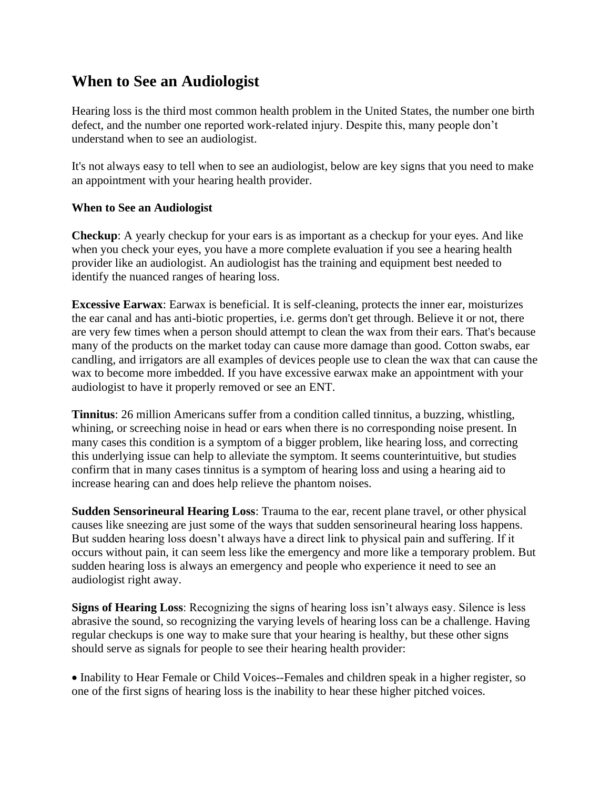## **When to See an Audiologist**

Hearing loss is the third most common health problem in the United States, the number one birth defect, and the number one reported work-related injury. Despite this, many people don't understand when to see an audiologist.

It's not always easy to tell when to see an audiologist, below are key signs that you need to make an appointment with your hearing health provider.

## **When to See an Audiologist**

**Checkup**: A yearly checkup for your ears is as important as a checkup for your eyes. And like when you check your eyes, you have a more complete evaluation if you see a hearing health provider like an audiologist. An audiologist has the training and equipment best needed to identify the nuanced ranges of hearing loss.

**Excessive Earwax**: Earwax is beneficial. It is self-cleaning, protects the inner ear, moisturizes the ear canal and has anti-biotic properties, i.e. germs don't get through. Believe it or not, there are very few times when a person should attempt to clean the wax from their ears. That's because many of the products on the market today can cause more damage than good. Cotton swabs, ear candling, and irrigators are all examples of devices people use to clean the wax that can cause the wax to become more imbedded. If you have excessive earwax make an appointment with your audiologist to have it properly removed or see an ENT.

**Tinnitus**: 26 million Americans suffer from a condition called tinnitus, a buzzing, whistling, whining, or screeching noise in head or ears when there is no corresponding noise present. In many cases this condition is a symptom of a bigger problem, like hearing loss, and correcting this underlying issue can help to alleviate the symptom. It seems counterintuitive, but studies confirm that in many cases tinnitus is a symptom of hearing loss and using a hearing aid to increase hearing can and does help relieve the phantom noises.

**Sudden Sensorineural Hearing Loss**: Trauma to the ear, recent plane travel, or other physical causes like sneezing are just some of the ways that sudden sensorineural hearing loss happens. But sudden hearing loss doesn't always have a direct link to physical pain and suffering. If it occurs without pain, it can seem less like the emergency and more like a temporary problem. But sudden hearing loss is always an emergency and people who experience it need to see an audiologist right away.

**Signs of Hearing Loss**: Recognizing the signs of hearing loss isn't always easy. Silence is less abrasive the sound, so recognizing the varying levels of hearing loss can be a challenge. Having regular checkups is one way to make sure that your hearing is healthy, but these other signs should serve as signals for people to see their hearing health provider:

• Inability to Hear Female or Child Voices--Females and children speak in a higher register, so one of the first signs of hearing loss is the inability to hear these higher pitched voices.